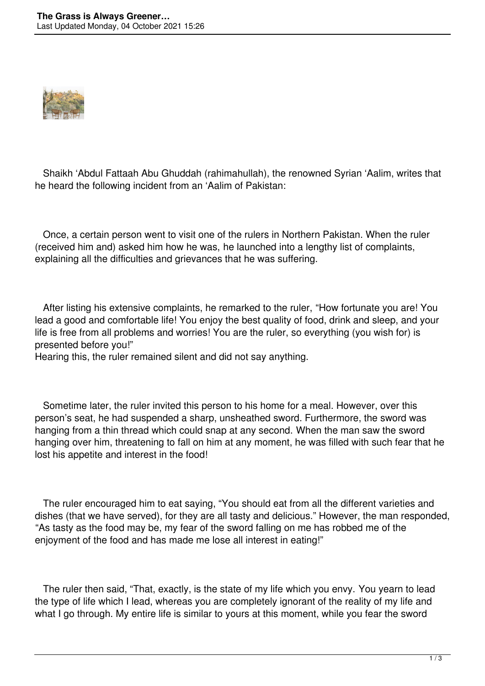

 Shaikh 'Abdul Fattaah Abu Ghuddah (rahimahullah), the renowned Syrian 'Aalim, writes that he heard the following incident from an 'Aalim of Pakistan:

 Once, a certain person went to visit one of the rulers in Northern Pakistan. When the ruler (received him and) asked him how he was, he launched into a lengthy list of complaints, explaining all the difficulties and grievances that he was suffering.

 After listing his extensive complaints, he remarked to the ruler, "How fortunate you are! You lead a good and comfortable life! You enjoy the best quality of food, drink and sleep, and your life is free from all problems and worries! You are the ruler, so everything (you wish for) is presented before you!"

Hearing this, the ruler remained silent and did not say anything.

 Sometime later, the ruler invited this person to his home for a meal. However, over this person's seat, he had suspended a sharp, unsheathed sword. Furthermore, the sword was hanging from a thin thread which could snap at any second. When the man saw the sword hanging over him, threatening to fall on him at any moment, he was filled with such fear that he lost his appetite and interest in the food!

 The ruler encouraged him to eat saying, "You should eat from all the different varieties and dishes (that we have served), for they are all tasty and delicious." However, the man responded, "As tasty as the food may be, my fear of the sword falling on me has robbed me of the enjoyment of the food and has made me lose all interest in eating!"

 The ruler then said, "That, exactly, is the state of my life which you envy. You yearn to lead the type of life which I lead, whereas you are completely ignorant of the reality of my life and what I go through. My entire life is similar to yours at this moment, while you fear the sword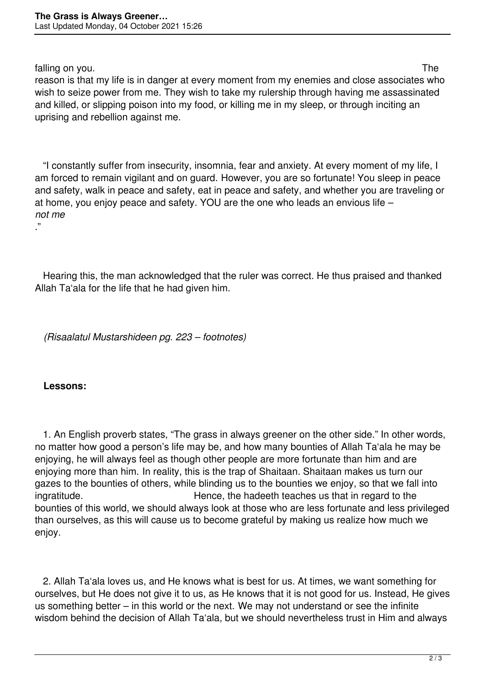falling on you. The state of the state of the state of the state of the state of the state of the state of the state of the state of the state of the state of the state of the state of the state of the state of the state o

reason is that my life is in danger at every moment from my enemies and close associates who wish to seize power from me. They wish to take my rulership through having me assassinated and killed, or slipping poison into my food, or killing me in my sleep, or through inciting an uprising and rebellion against me.

 "I constantly suffer from insecurity, insomnia, fear and anxiety. At every moment of my life, I am forced to remain vigilant and on guard. However, you are so fortunate! You sleep in peace and safety, walk in peace and safety, eat in peace and safety, and whether you are traveling or at home, you enjoy peace and safety. YOU are the one who leads an envious life – *not me* ."

 Hearing this, the man acknowledged that the ruler was correct. He thus praised and thanked Allah Ta'ala for the life that he had given him.

*(Risaalatul Mustarshideen pg. 223 – footnotes)*

## **Lessons:**

 1. An English proverb states, "The grass in always greener on the other side." In other words, no matter how good a person's life may be, and how many bounties of Allah Ta'ala he may be enjoying, he will always feel as though other people are more fortunate than him and are enjoying more than him. In reality, this is the trap of Shaitaan. Shaitaan makes us turn our gazes to the bounties of others, while blinding us to the bounties we enjoy, so that we fall into ingratitude. **Hence**, the hadeeth teaches us that in regard to the bounties of this world, we should always look at those who are less fortunate and less privileged than ourselves, as this will cause us to become grateful by making us realize how much we enjoy.

 2. Allah Ta'ala loves us, and He knows what is best for us. At times, we want something for ourselves, but He does not give it to us, as He knows that it is not good for us. Instead, He gives us something better – in this world or the next. We may not understand or see the infinite wisdom behind the decision of Allah Ta'ala, but we should nevertheless trust in Him and always